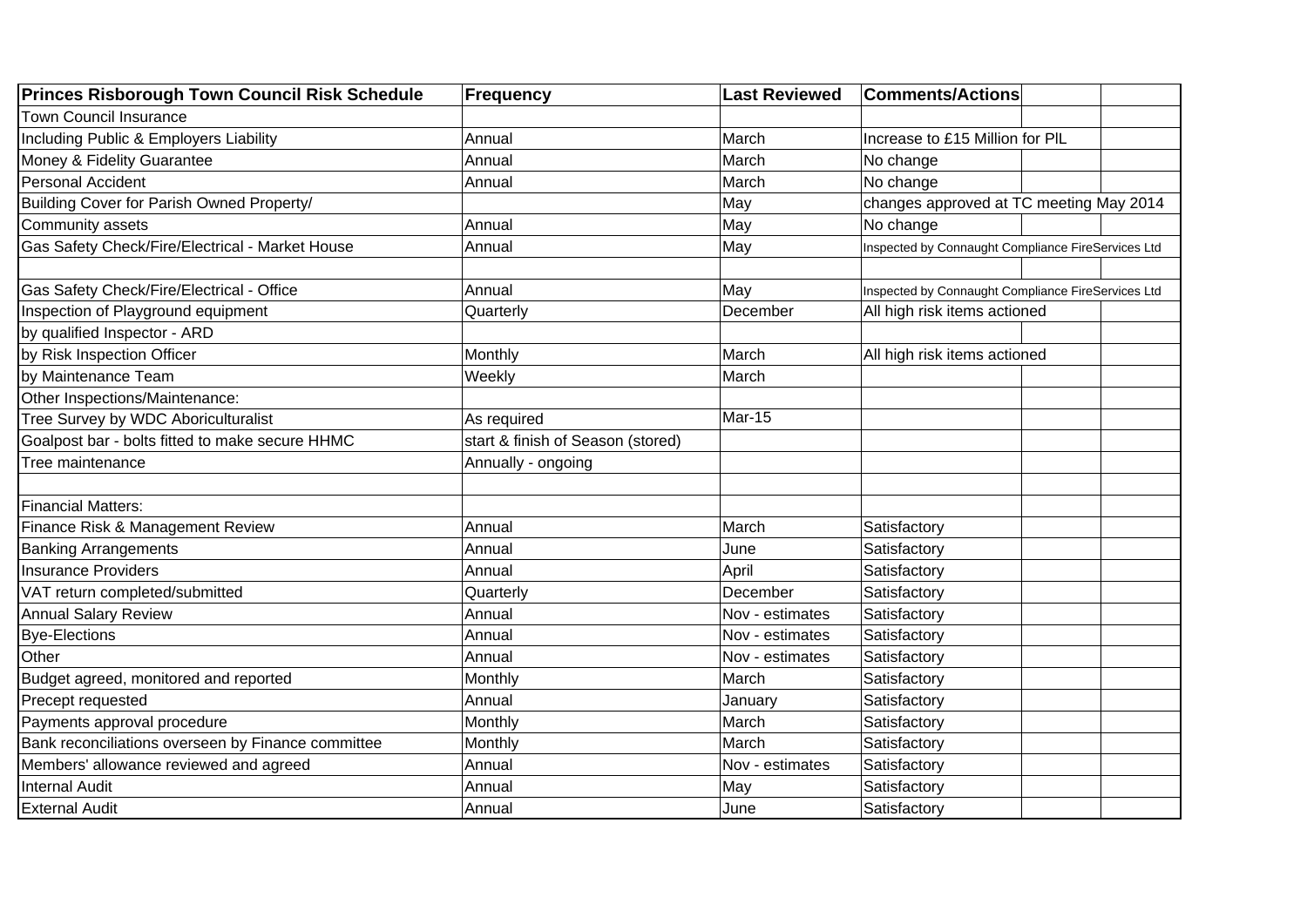| <b>Princes Risborough Town Council Risk Schedule</b> | <b>Frequency</b>                  | <b>Last Reviewed</b> | <b>Comments/Actions</b>                            |  |
|------------------------------------------------------|-----------------------------------|----------------------|----------------------------------------------------|--|
| <b>Town Council Insurance</b>                        |                                   |                      |                                                    |  |
| Including Public & Employers Liability               | Annual                            | March                | Increase to £15 Million for PIL                    |  |
| Money & Fidelity Guarantee                           | Annual                            | March                | No change                                          |  |
| Personal Accident                                    | Annual                            | March                | No change                                          |  |
| Building Cover for Parish Owned Property/            |                                   | May                  | changes approved at TC meeting May 2014            |  |
| Community assets                                     | Annual                            | May                  | No change                                          |  |
| Gas Safety Check/Fire/Electrical - Market House      | Annual                            | May                  | Inspected by Connaught Compliance FireServices Ltd |  |
|                                                      |                                   |                      |                                                    |  |
| Gas Safety Check/Fire/Electrical - Office            | Annual                            | May                  | Inspected by Connaught Compliance FireServices Ltd |  |
| Inspection of Playground equipment                   | Quarterly                         | December             | All high risk items actioned                       |  |
| by qualified Inspector - ARD                         |                                   |                      |                                                    |  |
| by Risk Inspection Officer                           | Monthly                           | March                | All high risk items actioned                       |  |
| by Maintenance Team                                  | Weekly                            | March                |                                                    |  |
| Other Inspections/Maintenance:                       |                                   |                      |                                                    |  |
| Tree Survey by WDC Aboriculturalist                  | As required                       | Mar-15               |                                                    |  |
| Goalpost bar - bolts fitted to make secure HHMC      | start & finish of Season (stored) |                      |                                                    |  |
| Tree maintenance                                     | Annually - ongoing                |                      |                                                    |  |
|                                                      |                                   |                      |                                                    |  |
| <b>Financial Matters:</b>                            |                                   |                      |                                                    |  |
| Finance Risk & Management Review                     | Annual                            | March                | Satisfactory                                       |  |
| <b>Banking Arrangements</b>                          | Annual                            | June                 | Satisfactory                                       |  |
| <b>Insurance Providers</b>                           | Annual                            | April                | Satisfactory                                       |  |
| VAT return completed/submitted                       | Quarterly                         | December             | Satisfactory                                       |  |
| <b>Annual Salary Review</b>                          | Annual                            | Nov - estimates      | Satisfactory                                       |  |
| <b>Bye-Elections</b>                                 | Annual                            | Nov - estimates      | Satisfactory                                       |  |
| Other                                                | Annual                            | Nov - estimates      | Satisfactory                                       |  |
| Budget agreed, monitored and reported                | Monthly                           | March                | Satisfactory                                       |  |
| Precept requested                                    | Annual                            | January              | Satisfactory                                       |  |
| Payments approval procedure                          | Monthly                           | March                | Satisfactory                                       |  |
| Bank reconciliations overseen by Finance committee   | Monthly                           | March                | Satisfactory                                       |  |
| Members' allowance reviewed and agreed               | Annual                            | Nov - estimates      | Satisfactory                                       |  |
| <b>Internal Audit</b>                                | Annual                            | May                  | Satisfactory                                       |  |
| <b>External Audit</b>                                | Annual                            | June                 | Satisfactory                                       |  |